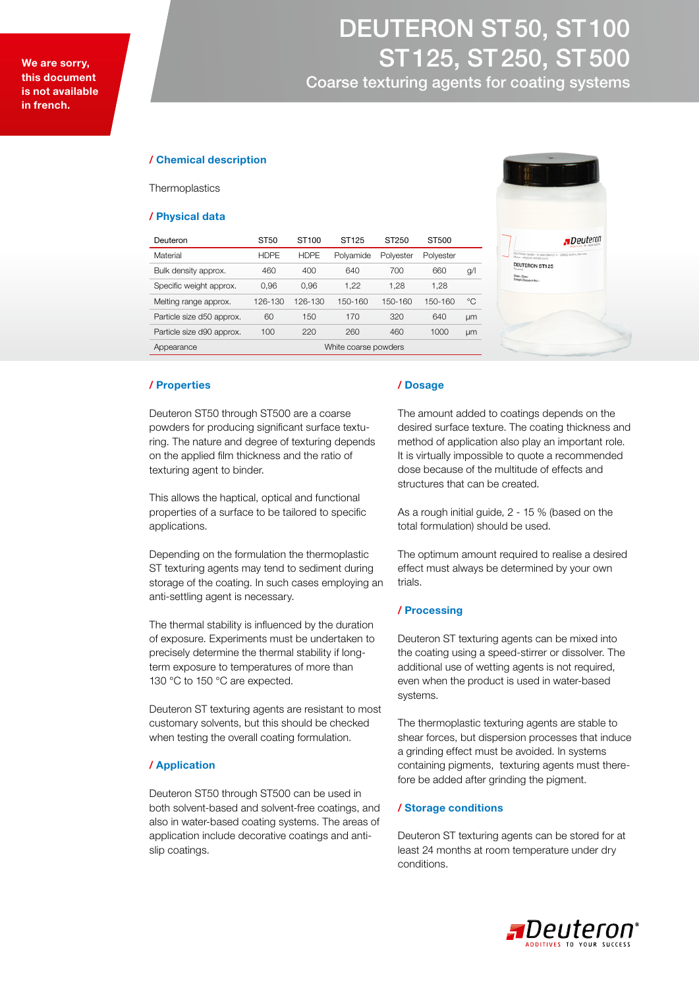# DEUTERON ST 50, ST 100 ST 125, ST 250, ST 500

Coarse texturing agents for coating systems

### / Chemical description

**Thermoplastics** 

#### / Physical data

| Deuteron                  | ST50                 | ST <sub>100</sub> | ST <sub>125</sub> | ST250     | ST500     |           |
|---------------------------|----------------------|-------------------|-------------------|-----------|-----------|-----------|
| Material                  | <b>HDPE</b>          | <b>HDPE</b>       | Polyamide         | Polyester | Polyester |           |
| Bulk density approx.      | 460                  | 400               | 640               | 700       | 660       | g/        |
| Specific weight approx.   | 0.96                 | 0,96              | 1.22              | 1,28      | 1,28      |           |
| Melting range approx.     | 126-130              | 126-130           | 150-160           | 150-160   | 150-160   | °C        |
| Particle size d50 approx. | 60                   | 150               | 170               | 320       | 640       | <b>um</b> |
| Particle size d90 approx. | 100                  | 220               | 260               | 460       | 1000      | µm        |
| Appearance                | White coarse powders |                   |                   |           |           |           |



#### / Properties

Deuteron ST50 through ST500 are a coarse powders for producing significant surface texturing. The nature and degree of texturing depends on the applied film thickness and the ratio of texturing agent to binder.

This allows the haptical, optical and functional properties of a surface to be tailored to specific applications.

Depending on the formulation the thermoplastic ST texturing agents may tend to sediment during storage of the coating. In such cases employing an anti-settling agent is necessary.

The thermal stability is influenced by the duration of exposure. Experiments must be undertaken to precisely determine the thermal stability if longterm exposure to temperatures of more than 130 °C to 150 °C are expected.

Deuteron ST texturing agents are resistant to most customary solvents, but this should be checked when testing the overall coating formulation.

## / Application

Deuteron ST50 through ST500 can be used in both solvent-based and solvent-free coatings, and also in water-based coating systems. The areas of application include decorative coatings and antislip coatings.

#### / Dosage

The amount added to coatings depends on the desired surface texture. The coating thickness and method of application also play an important role. It is virtually impossible to quote a recommended dose because of the multitude of effects and structures that can be created.

As a rough initial guide, 2 - 15 % (based on the total formulation) should be used.

The optimum amount required to realise a desired effect must always be determined by your own trials.

#### / Processing

Deuteron ST texturing agents can be mixed into the coating using a speed-stirrer or dissolver. The additional use of wetting agents is not required, even when the product is used in water-based systems.

The thermoplastic texturing agents are stable to shear forces, but dispersion processes that induce a grinding effect must be avoided. In systems containing pigments, texturing agents must therefore be added after grinding the pigment.

### / Storage conditions

Deuteron ST texturing agents can be stored for at least 24 months at room temperature under dry conditions.